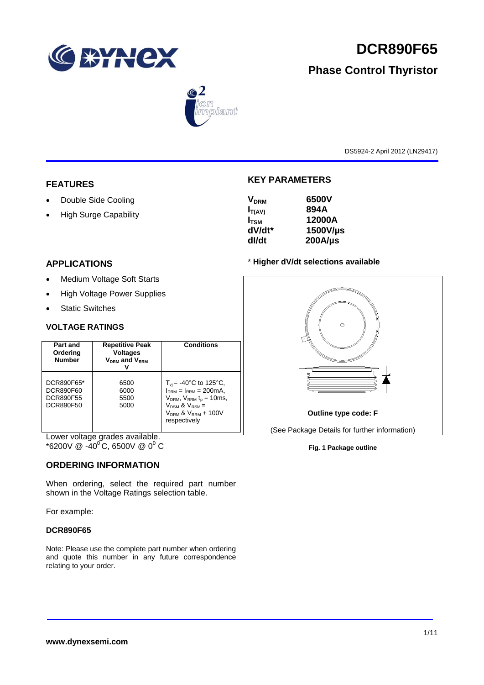

# **DCR890F65**

# **Phase Control Thyristor**



DS5924-2 April 2012 (LN29417)

# **FEATURES**

- Double Side Cooling
- High Surge Capability

# **KEY PARAMETERS**

| V <sub>DRM</sub> | 6500V        |
|------------------|--------------|
| $I_{T(AV)}$      | 894A         |
| I <sub>tsm</sub> | 12000A       |
| dV/dt*           | 1500V/µs     |
| dl/dt            | $200A/\mu s$ |
|                  |              |

# \* **Higher dV/dt selections available**



**Fig. 1 Package outline**

# **APPLICATIONS**

- Medium Voltage Soft Starts
- High Voltage Power Supplies
- Static Switches

## **VOLTAGE RATINGS**

| Part and<br>Ordering<br><b>Number</b>             | <b>Repetitive Peak</b><br><b>Voltages</b><br>$V_{DRM}$ and $V_{RRM}$ | <b>Conditions</b>                                                                                                                                                                         |
|---------------------------------------------------|----------------------------------------------------------------------|-------------------------------------------------------------------------------------------------------------------------------------------------------------------------------------------|
| DCR890F65*<br>DCR890F60<br>DCR890F55<br>DCR890F50 | 6500<br>6000<br>5500<br>5000                                         | $T_{\rm vi}$ = -40°C to 125°C,<br>$I_{DRM} = I_{RRM} = 200 \text{mA}$<br>$V_{DRM}$ , $V_{RRM}$ $t_{p}$ = 10ms,<br>$V_{DSM}$ & $V_{RSM}$ =<br>$V_{DRM}$ & $V_{RRM}$ + 100V<br>respectively |

Lower voltage grades available.  $*$ 6200V @ -40<sup>o</sup>C, 6500V @ 0<sup>o</sup> C

# **ORDERING INFORMATION**

When ordering, select the required part number shown in the Voltage Ratings selection table.

For example:

## **DCR890F65**

Note: Please use the complete part number when ordering and quote this number in any future correspondence relating to your order.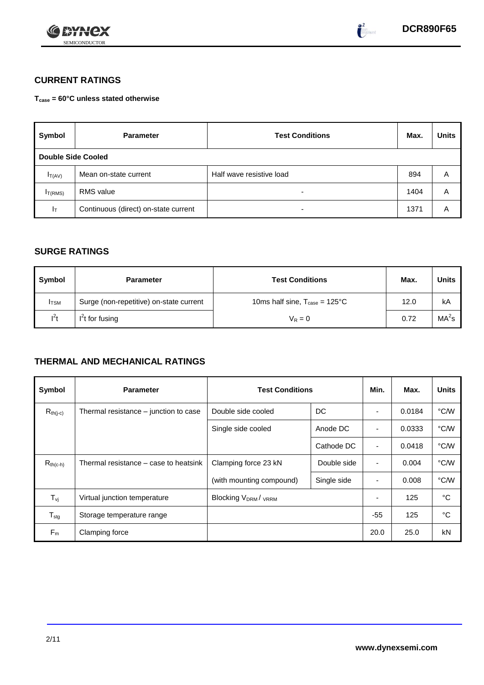



 $\bullet^2$ 

# **CURRENT RATINGS**

**Tcase = 60°C unless stated otherwise**

| Symbol              | <b>Parameter</b>                     | <b>Test Conditions</b>   | Max. | <b>Units</b> |
|---------------------|--------------------------------------|--------------------------|------|--------------|
| Double Side Cooled  |                                      |                          |      |              |
| $I_{T(AV)}$         | Mean on-state current                | Half wave resistive load | 894  | A            |
| I <sub>T(RMS)</sub> | <b>RMS</b> value                     | -                        | 1404 | Α            |
| Iт                  | Continuous (direct) on-state current | $\overline{\phantom{0}}$ | 1371 | Α            |

# **SURGE RATINGS**

| Symbol      | <b>Parameter</b>                        | <b>Test Conditions</b>                           | Max. | Units             |
|-------------|-----------------------------------------|--------------------------------------------------|------|-------------------|
| <b>ITSM</b> | Surge (non-repetitive) on-state current | 10ms half sine, $T_{\text{case}} = 125^{\circ}C$ | 12.0 | kA                |
| $l^2t$      | $I2t$ for fusing                        | $V_R = 0$                                        | 0.72 | MA <sup>2</sup> s |

# **THERMAL AND MECHANICAL RATINGS**

| Symbol                         | <b>Parameter</b>                      | <b>Test Conditions</b>                      | Min.       | Max.           | <b>Units</b> |      |
|--------------------------------|---------------------------------------|---------------------------------------------|------------|----------------|--------------|------|
| $R_{th(j-c)}$                  | Thermal resistance – junction to case | Double side cooled                          | DC         |                | 0.0184       | °C/W |
|                                |                                       | Single side cooled                          | Anode DC   |                | 0.0333       | °C/W |
|                                |                                       |                                             | Cathode DC | $\blacksquare$ | 0.0418       | °C/W |
| $R_{th(c-h)}$                  | Thermal resistance – case to heatsink | Clamping force 23 kN<br>Double side         |            | ٠              | 0.004        | °C/W |
|                                |                                       | (with mounting compound)<br>Single side     |            |                | 0.008        | °C/W |
| $T_{\rm\scriptscriptstyle VI}$ | Virtual junction temperature          | Blocking V <sub>DRM</sub> / <sub>VRRM</sub> |            |                | 125          | °C   |
| $T_{\text{stg}}$               | Storage temperature range             |                                             |            | $-55$          | 125          | °C   |
| $F_m$                          | Clamping force                        |                                             |            | 20.0           | 25.0         | kN   |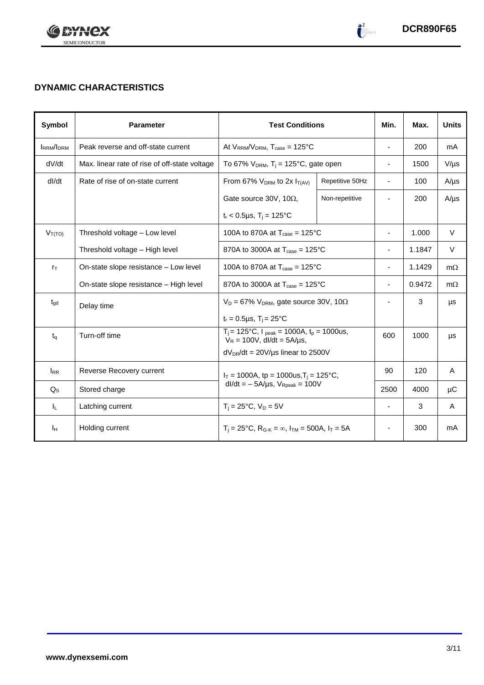

 $\begin{pmatrix} 2 \\ -2 \end{pmatrix}$ 

# **DYNAMIC CHARACTERISTICS**

| Symbol           | <b>Parameter</b>                              | <b>Test Conditions</b>                                                              | Min.                                       | Max.                     | <b>Units</b> |           |
|------------------|-----------------------------------------------|-------------------------------------------------------------------------------------|--------------------------------------------|--------------------------|--------------|-----------|
| <b>IRRM/IDRM</b> | Peak reverse and off-state current            | At $V_{RRM}/V_{DRM}$ , $T_{case} = 125^{\circ}C$                                    |                                            | $\sim$                   | 200          | mA        |
| dV/dt            | Max. linear rate of rise of off-state voltage | To 67% $V_{DRM}$ , T <sub>i</sub> = 125°C, gate open                                |                                            | $\overline{\phantom{a}}$ | 1500         | $V/\mu s$ |
| dl/dt            | Rate of rise of on-state current              | From 67% $V_{DRM}$ to 2x $I_{T(AV)}$                                                | Repetitive 50Hz                            | $\sim$                   | 100          | $A/\mu s$ |
|                  |                                               | Gate source 30V, 10 $\Omega$ ,                                                      | Non-repetitive                             | $\overline{\phantom{a}}$ | 200          | $A/\mu s$ |
|                  |                                               | $t_r$ < 0.5µs, T <sub>i</sub> = 125°C                                               |                                            |                          |              |           |
| $V_{T(TO)}$      | Threshold voltage - Low level                 | 100A to 870A at $T_{\text{case}} = 125^{\circ}$ C                                   |                                            | $\overline{\phantom{a}}$ | 1.000        | $\vee$    |
|                  | Threshold voltage - High level                | 870A to 3000A at $T_{\text{case}} = 125^{\circ}$ C                                  |                                            | $\overline{\phantom{a}}$ | 1.1847       | V         |
| $r_{\text{T}}$   | On-state slope resistance - Low level         | 100A to 870A at $T_{\text{case}} = 125^{\circ}$ C                                   | $\overline{\phantom{a}}$                   | 1.1429                   | $m\Omega$    |           |
|                  | On-state slope resistance - High level        | 870A to 3000A at $T_{\text{case}} = 125^{\circ}C$                                   |                                            | $\overline{\phantom{a}}$ | 0.9472       | $m\Omega$ |
| $t_{\text{qd}}$  | Delay time                                    | $V_D = 67\% V_{DRM}$ , gate source 30V, 10 $\Omega$                                 |                                            | $\blacksquare$           | 3            | μs        |
|                  |                                               | $t_r = 0.5 \mu s$ , $T_i = 25^{\circ}C$                                             |                                            |                          |              |           |
| $t_{q}$          | Turn-off time                                 | $T_i$ = 125°C, $I_{peak}$ = 1000A, $t_p$ = 1000us,<br>$V_R = 100V$ , dl/dt = 5A/µs, |                                            | 600                      | 1000         | μs        |
|                  |                                               | $dV_{DR}/dt = 20V/\mu s$ linear to 2500V                                            |                                            |                          |              |           |
| $I_{RR}$         | Reverse Recovery current                      |                                                                                     | $I_T$ = 1000A, tp = 1000us, $T_i$ = 125°C, |                          | 120          | A         |
| $Q_{\rm S}$      | Stored charge                                 | $dl/dt = -5A/\mu s$ , $V_{\text{Rpeak}} = 100V$                                     |                                            | 2500                     | 4000         | μC        |
| IL.              | Latching current                              | $T_i = 25^{\circ}C$ , $V_D = 5V$                                                    | ÷,                                         | 3                        | A            |           |
| Iн               | Holding current                               | $T_i = 25^{\circ}C$ , $R_{G-K} = \infty$ , $I_{TM} = 500A$ , $I_T = 5A$             |                                            |                          | 300          | mA        |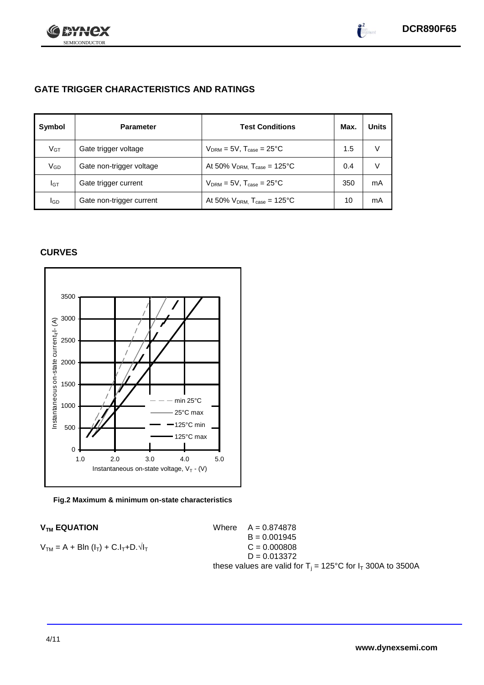

 $\int_{0}^{\infty}$ 

# **GATE TRIGGER CHARACTERISTICS AND RATINGS**

| Symbol          | <b>Parameter</b>         | <b>Test Conditions</b>                       | Max. | <b>Units</b> |
|-----------------|--------------------------|----------------------------------------------|------|--------------|
| V <sub>GT</sub> | Gate trigger voltage     | $V_{DRM} = 5V$ , $T_{case} = 25^{\circ}C$    | 1.5  | V            |
| VGD             | Gate non-trigger voltage | At 50% $V_{DRM}$ , $T_{case} = 125^{\circ}C$ | 0.4  |              |
| Iст             | Gate trigger current     | $V_{DRM}$ = 5V, $T_{case}$ = 25°C            | 350  | mA           |
| <b>I</b> GD     | Gate non-trigger current | At 50% $V_{DRM}$ , $T_{case} = 125^{\circ}C$ | 10   | mA           |

# **CURVES**



## **Fig.2 Maximum & minimum on-state characteristics**

 $V_{TM}$  **EQUATION** Where  $A = 0.874878$  $B = 0.001945$  $V_{TM} = A + B\ln(I_T) + C.I_T + D.\sqrt{I_T}$  C = 0.000808  $D = 0.013372$ these values are valid for  $T_i = 125^{\circ}C$  for  $I_T$  300A to 3500A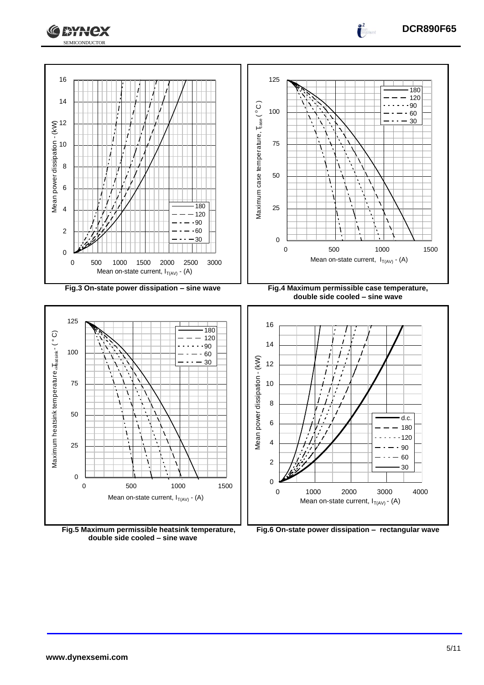

 1000 2000 3000 4000 Mean on-state current,  $I_{T(A\vee)}$  - (A)

**Fig.6 On-state power dissipation – rectangular wave**

**Fig.5 Maximum permissible heatsink temperature, double side cooled – sine wave**

 500 1000 1500 Mean on-state current,  $I_{T(AV)}$  - (A)

**DCR890F65**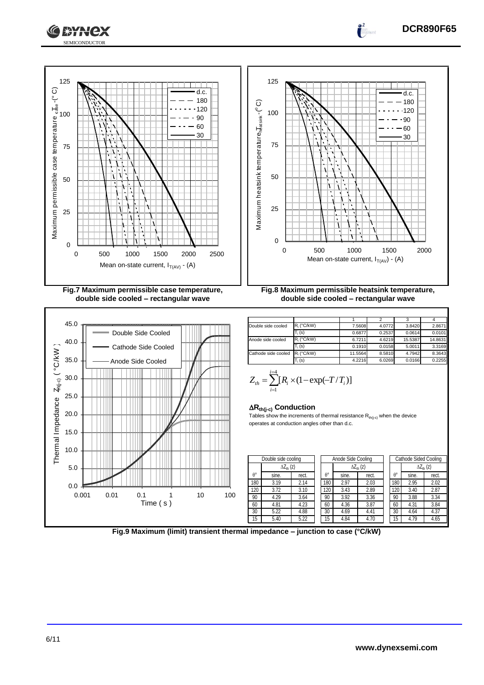





| $R_i$ (°C/kW) |        | 3.8420                                                    | 2.8671                                         |
|---------------|--------|-----------------------------------------------------------|------------------------------------------------|
| $T_i(s)$      | 0.2537 | 0.0614                                                    | 0.0101                                         |
| R. (°C/kW)    |        | 15.5387                                                   | 14.8631                                        |
| $T_i(s)$      |        | 5.0011                                                    | 3.3169                                         |
| $R_i$ (°C/kW) |        | 4.7942                                                    | 8.3643                                         |
| $T_i(s)$      |        | 0.0166                                                    | 0.2255                                         |
|               |        | 7.5608<br>0.6877<br>6.7211<br>0.1910<br>11.5564<br>4.2216 | 4.0772<br>4.6219<br>0.0158<br>8.5810<br>6.0269 |

**DCR890F65**

 $\int_0^2$ 

$$
Z_{th} = \sum_{i=1}^{i=4} [R_i \times (1 - \exp(-T/T_i))]
$$

# **Rth(j-c) Conduction**

4

J.

Tables show the increments of thermal resistance  $R_{th(j-c)}$  when the device operates at conduction angles other than d.c.

|                  | Double side cooling |       |  |     | Anode Side Cooling |                     |  | <b>Cathode Sided Cooling</b> |       |                     |
|------------------|---------------------|-------|--|-----|--------------------|---------------------|--|------------------------------|-------|---------------------|
|                  | $\Delta Z_{th}$ (z) |       |  |     |                    | $\Delta Z_{th}$ (z) |  |                              |       | $\Delta Z_{th}$ (z) |
| $\theta^{\circ}$ | sine.               | rect. |  | A°  | sine.              | rect.               |  | $\theta^{\circ}$             | sine. | rect.               |
| 180              | 3.19                | 2.14  |  | 180 | 2.97               | 2.03                |  | 180                          | 2.95  | 2.02                |
| 120              | 3.72                | 3.10  |  | 120 | 3.43               | 2.89                |  | 120                          | 3.40  | 2.87                |
| 90               | 4.29                | 3.64  |  | 90  | 3.92               | 3.36                |  | 90                           | 3.88  | 3.34                |
| 60               | 4.81                | 4.23  |  | 60  | 4.36               | 3.87                |  | 60                           | 4.31  | 3.84                |
| 30               | 5.22                | 4.88  |  | 30  | 4.69               | 4.41                |  | 30                           | 4.64  | 4.37                |
| 15               | 5.40                | 5.22  |  | 15  | 4.84               | 4.70                |  | 15                           | 4.79  | 4.65                |

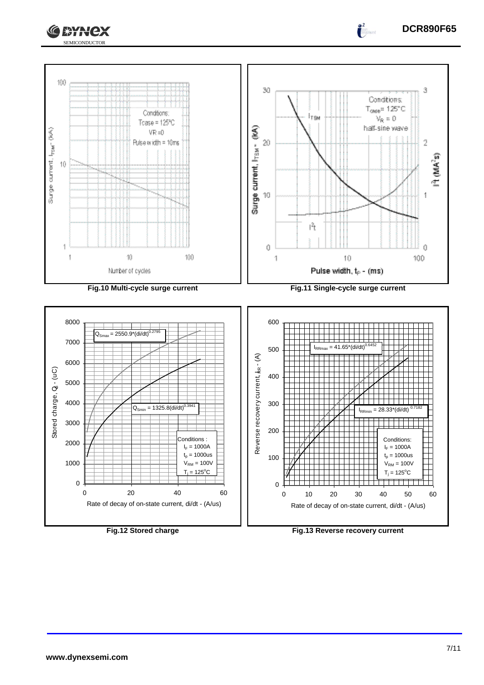





SEMICONDUCTOR

C **\*Hex**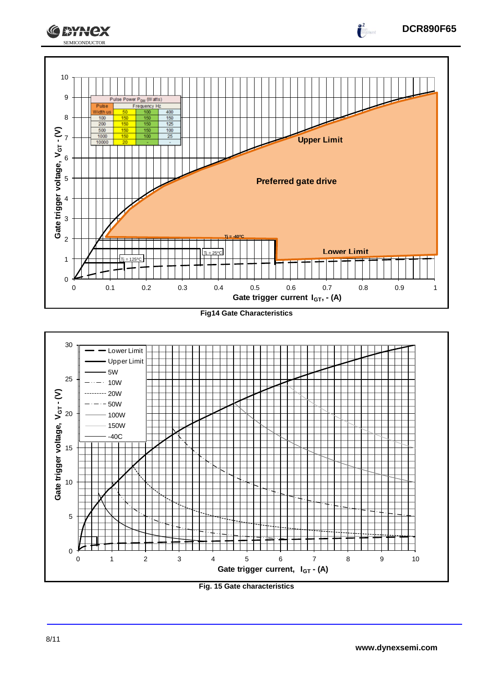



**Fig. 15 Gate characteristics**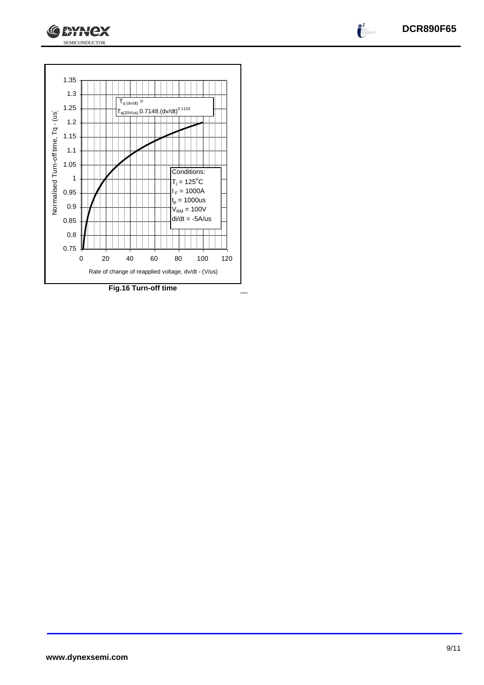



SEMICONDUCTOR

**CEYNEX** 

**www.dynexsemi.com**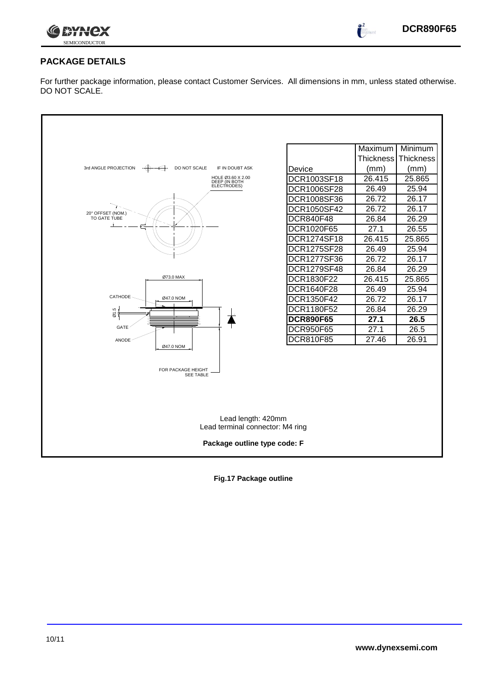

 $\bullet^2$ 

# **PACKAGE DETAILS**

For further package information, please contact Customer Services. All dimensions in mm, unless stated otherwise. DO NOT SCALE.

|                                                                             |                          | Maximum I<br><b>Thickness</b> | Minimum<br><b>Thickness</b> |
|-----------------------------------------------------------------------------|--------------------------|-------------------------------|-----------------------------|
| 3rd ANGLE PROJECTION<br>- <del>(ቀ)</del><br>DO NOT SCALE<br>IF IN DOUBT ASK |                          |                               |                             |
|                                                                             | Device<br>DCR1003SF18    | (mm)<br>26.415                | (mm)<br>25.865              |
| HOLE Ø3.60 X 2.00<br>DEEP (IN BOTH<br>ELECTRODES)                           | DCR1006SF28              | 26.49                         | 25.94                       |
|                                                                             |                          | 26.72                         | 26.17                       |
|                                                                             | DCR1008SF36              | 26.72                         | 26.17                       |
| 20° OFFSET (NOM.)<br>TO GATE TUBE                                           | DCR1050SF42<br>DCR840F48 | 26.84                         | 26.29                       |
|                                                                             | DCR1020F65               | 27.1                          | 26.55                       |
|                                                                             | DCR1274SF18              | 26.415                        | 25.865                      |
|                                                                             | DCR1275SF28              | 26.49                         | 25.94                       |
|                                                                             | DCR1277SF36              | 26.72                         | 26.17                       |
|                                                                             | DCR1279SF48              | 26.84                         | 26.29                       |
| Ø73.0 MAX                                                                   | DCR1830F22               | 26.415                        | 25.865                      |
|                                                                             | DCR1640F28               | 26.49                         | 25.94                       |
| CATHODE<br>Ø47.0 NOM                                                        | DCR1350F42               | 26.72                         | 26.17                       |
|                                                                             | DCR1180F52               | 26.84                         | 26.29                       |
| Ø1.5                                                                        | <b>DCR890F65</b>         | 27.1                          | 26.5                        |
| <b>GATE</b>                                                                 | <b>DCR950F65</b>         | 27.1                          | 26.5                        |
| <b>ANODE</b>                                                                | DCR810F85                | 27.46                         | 26.91                       |
| Ø47.0 NOM                                                                   |                          |                               |                             |
|                                                                             |                          |                               |                             |
| FOR PACKAGE HEIGHT<br><b>SEE TABLE</b>                                      |                          |                               |                             |
|                                                                             |                          |                               |                             |
|                                                                             |                          |                               |                             |
|                                                                             |                          |                               |                             |
| Lead length: 420mm                                                          |                          |                               |                             |
| Lead terminal connector: M4 ring                                            |                          |                               |                             |
|                                                                             |                          |                               |                             |
| Package outline type code: F                                                |                          |                               |                             |
|                                                                             |                          |                               |                             |

**Fig.17 Package outline**